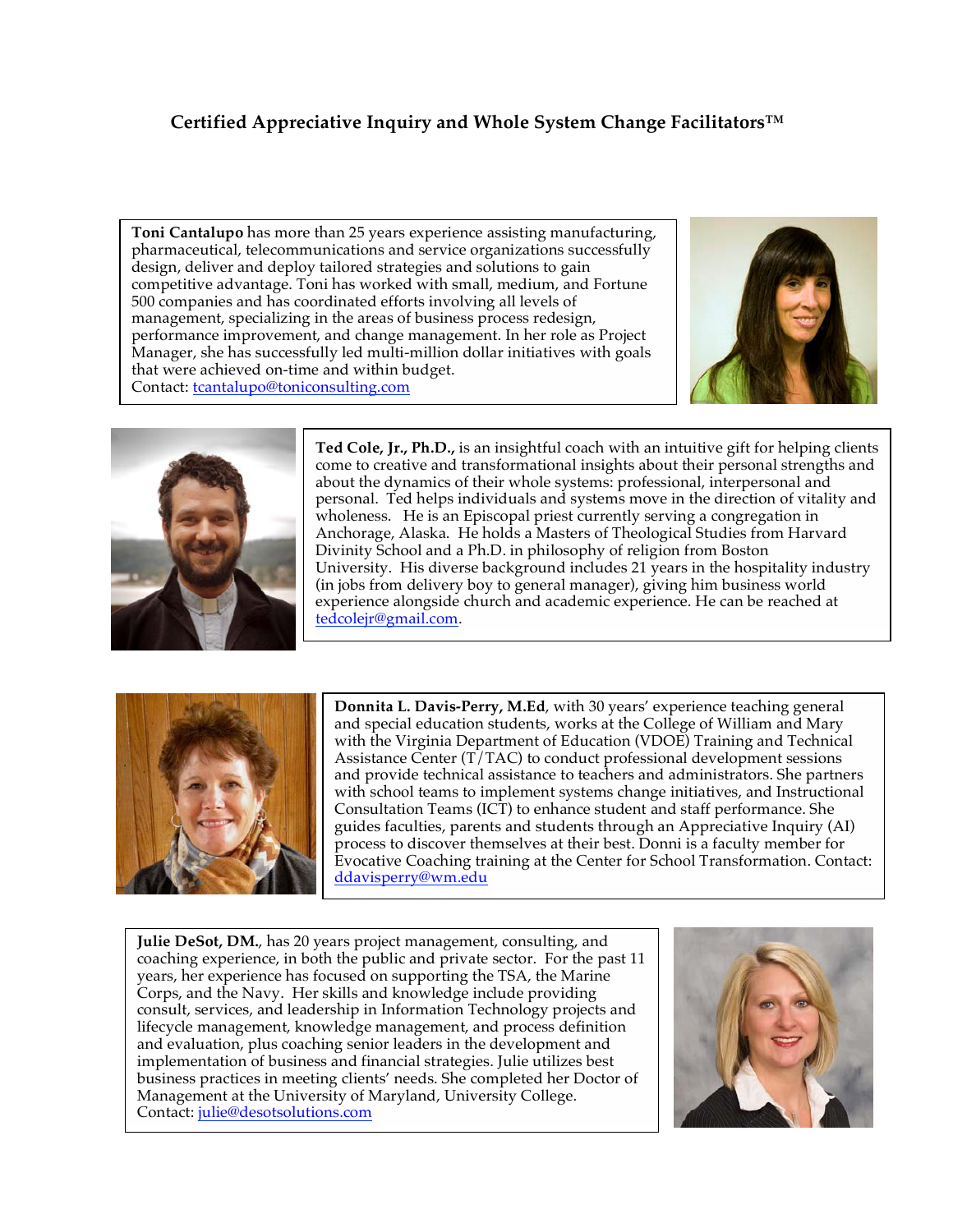## **Certified Appreciative Inquiry and Whole System Change Facilitators™**

**Toni Cantalupo** has more than 25 years experience assisting manufacturing, pharmaceutical, telecommunications and service organizations successfully design, deliver and deploy tailored strategies and solutions to gain competitive advantage. Toni has worked with small, medium, and Fortune 500 companies and has coordinated efforts involving all levels of management, specializing in the areas of business process redesign, performance improvement, and change management. In her role as Project Manager, she has successfully led multi-million dollar initiatives with goals that were achieved on-time and within budget. Contact: tcantalupo@toniconsulting.com





**Ted Cole, Jr., Ph.D.,** is an insightful coach with an intuitive gift for helping clients come to creative and transformational insights about their personal strengths and about the dynamics of their whole systems: professional, interpersonal and personal. Ted helps individuals and systems move in the direction of vitality and wholeness. He is an Episcopal priest currently serving a congregation in Anchorage, Alaska. He holds a Masters of Theological Studies from Harvard Divinity School and a Ph.D. in philosophy of religion from Boston University. His diverse background includes 21 years in the hospitality industry (in jobs from delivery boy to general manager), giving him business world experience alongside church and academic experience. He can be reached at tedcolejr@gmail.com.



**Donnita L. Davis-Perry, M.Ed**, with 30 years' experience teaching general and special education students, works at the College of William and Mary with the Virginia Department of Education (VDOE) Training and Technical Assistance Center (T/TAC) to conduct professional development sessions and provide technical assistance to teachers and administrators. She partners with school teams to implement systems change initiatives, and Instructional Consultation Teams (ICT) to enhance student and staff performance. She guides faculties, parents and students through an Appreciative Inquiry (AI) process to discover themselves at their best. Donni is a faculty member for Evocative Coaching training at the Center for School Transformation. Contact: ddavisperry@wm.edu

**Julie DeSot, DM.**, has 20 years project management, consulting, and coaching experience, in both the public and private sector. For the past 11 years, her experience has focused on supporting the TSA, the Marine Corps, and the Navy. Her skills and knowledge include providing consult, services, and leadership in Information Technology projects and lifecycle management, knowledge management, and process definition and evaluation, plus coaching senior leaders in the development and implementation of business and financial strategies. Julie utilizes best business practices in meeting clients' needs. She completed her Doctor of Management at the University of Maryland, University College. Contact: julie@desotsolutions.com

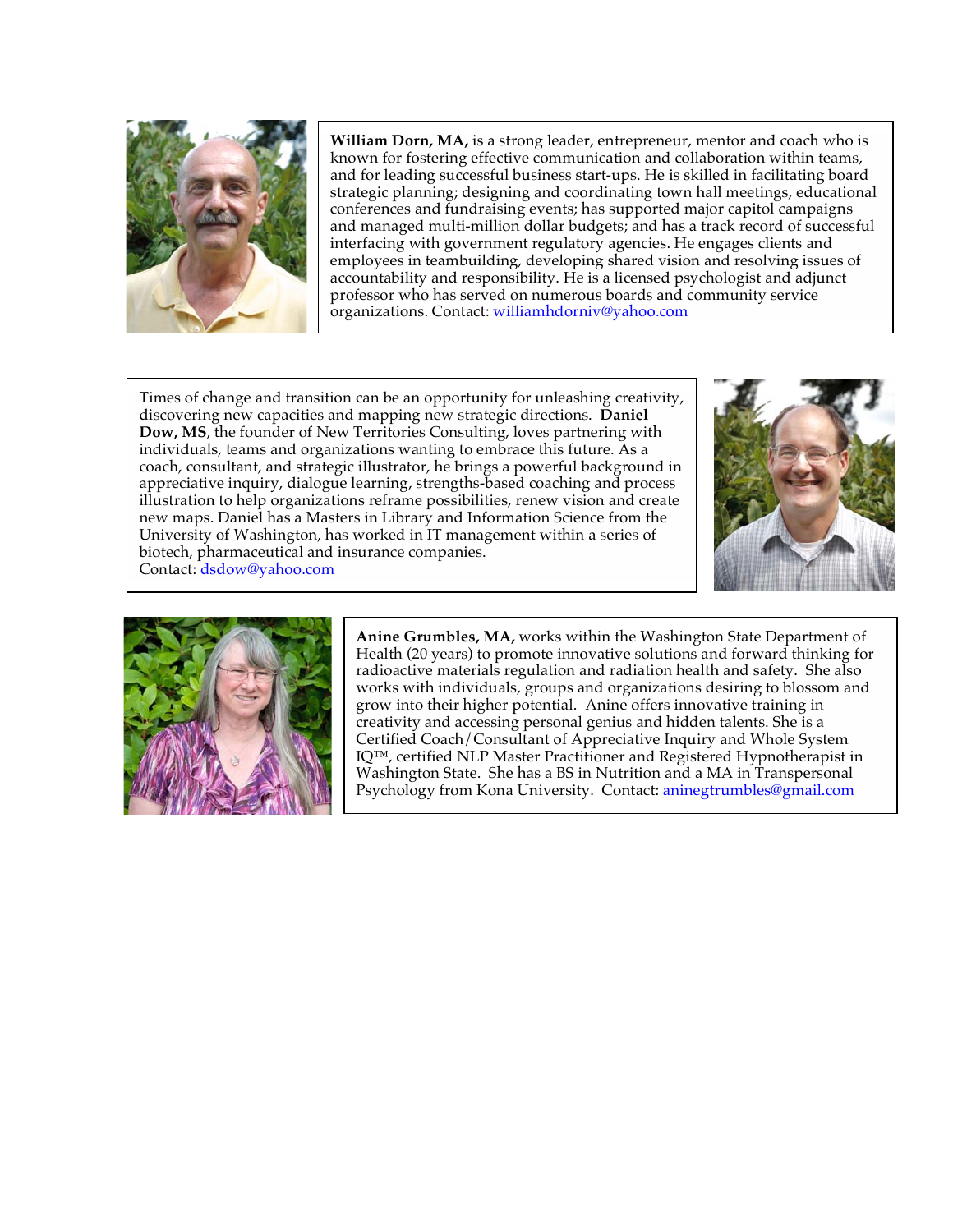

**William Dorn, MA,** is a strong leader, entrepreneur, mentor and coach who is known for fostering effective communication and collaboration within teams, and for leading successful business start-ups. He is skilled in facilitating board strategic planning; designing and coordinating town hall meetings, educational conferences and fundraising events; has supported major capitol campaigns and managed multi-million dollar budgets; and has a track record of successful interfacing with government regulatory agencies. He engages clients and employees in teambuilding, developing shared vision and resolving issues of accountability and responsibility. He is a licensed psychologist and adjunct professor who has served on numerous boards and community service organizations. Contact: williamhdorniv@yahoo.com

Times of change and transition can be an opportunity for unleashing creativity, discovering new capacities and mapping new strategic directions. **Daniel Dow, MS**, the founder of New Territories Consulting, loves partnering with individuals, teams and organizations wanting to embrace this future. As a coach, consultant, and strategic illustrator, he brings a powerful background in appreciative inquiry, dialogue learning, strengths-based coaching and process illustration to help organizations reframe possibilities, renew vision and create new maps. Daniel has a Masters in Library and Information Science from the University of Washington, has worked in IT management within a series of biotech, pharmaceutical and insurance companies. Contact: dsdow@yahoo.com





**Anine Grumbles, MA,** works within the Washington State Department of Health (20 years) to promote innovative solutions and forward thinking for radioactive materials regulation and radiation health and safety. She also works with individuals, groups and organizations desiring to blossom and grow into their higher potential. Anine offers innovative training in creativity and accessing personal genius and hidden talents. She is a Certified Coach/Consultant of Appreciative Inquiry and Whole System IQ™, certified NLP Master Practitioner and Registered Hypnotherapist in Washington State. She has a BS in Nutrition and a MA in Transpersonal Psychology from Kona University. Contact: aninegtrumbles@gmail.com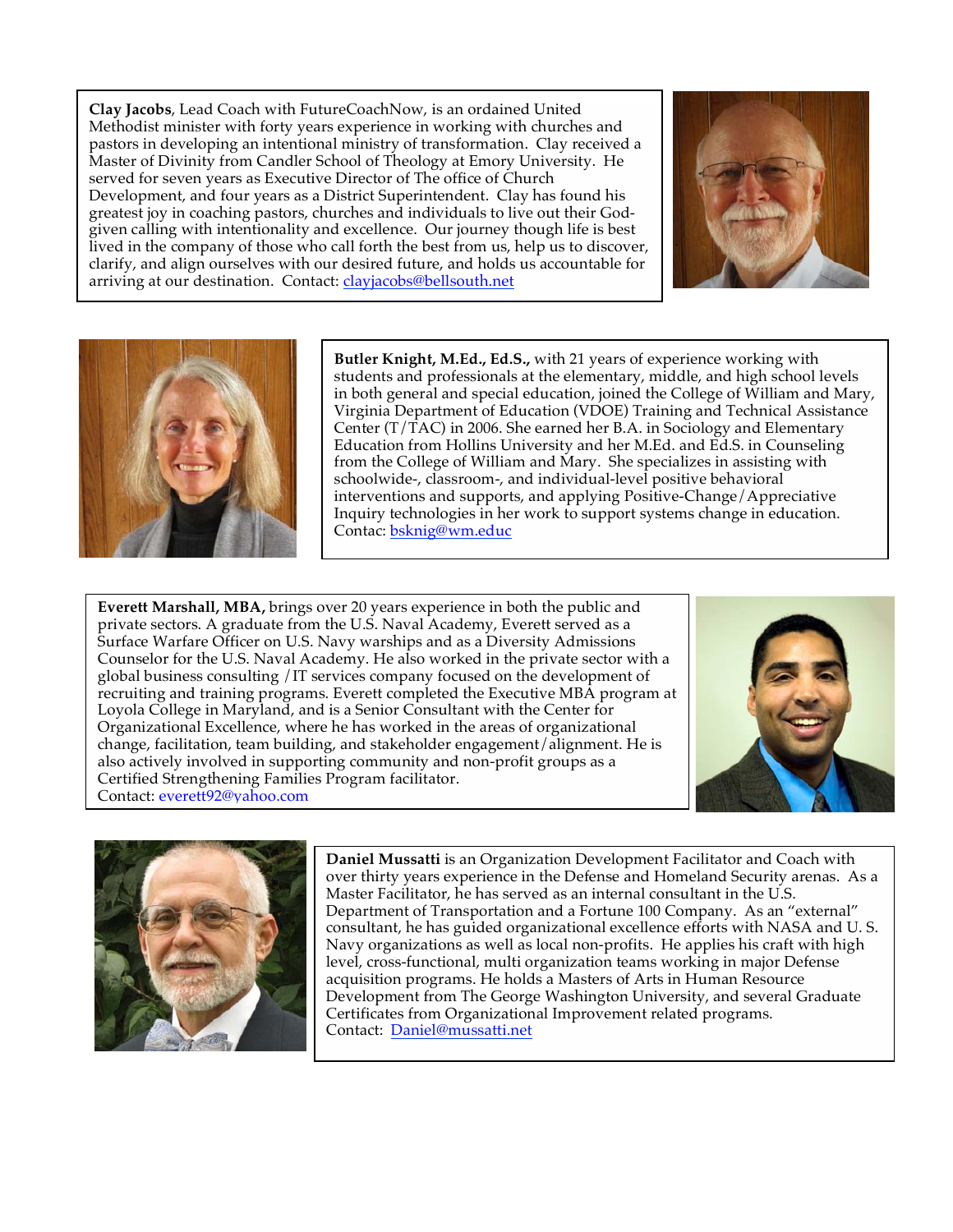**Clay Jacobs**, Lead Coach with FutureCoachNow, is an ordained United Methodist minister with forty years experience in working with churches and pastors in developing an intentional ministry of transformation. Clay received a Master of Divinity from Candler School of Theology at Emory University. He served for seven years as Executive Director of The office of Church Development, and four years as a District Superintendent. Clay has found his greatest joy in coaching pastors, churches and individuals to live out their Godgiven calling with intentionality and excellence. Our journey though life is best lived in the company of those who call forth the best from us, help us to discover, clarify, and align ourselves with our desired future, and holds us accountable for arriving at our destination. Contact: clayjacobs@bellsouth.net





**Butler Knight, M.Ed., Ed.S.,** with 21 years of experience working with students and professionals at the elementary, middle, and high school levels in both general and special education, joined the College of William and Mary, Virginia Department of Education (VDOE) Training and Technical Assistance Center (T/TAC) in 2006. She earned her B.A. in Sociology and Elementary Education from Hollins University and her M.Ed. and Ed.S. in Counseling from the College of William and Mary. She specializes in assisting with schoolwide-, classroom-, and individual-level positive behavioral interventions and supports, and applying Positive-Change/Appreciative Inquiry technologies in her work to support systems change in education. Contac: bsknig@wm.educ

**Everett Marshall, MBA,** brings over 20 years experience in both the public and private sectors. A graduate from the U.S. Naval Academy, Everett served as a Surface Warfare Officer on U.S. Navy warships and as a Diversity Admissions Counselor for the U.S. Naval Academy. He also worked in the private sector with a global business consulting /IT services company focused on the development of recruiting and training programs. Everett completed the Executive MBA program at Loyola College in Maryland, and is a Senior Consultant with the Center for Organizational Excellence, where he has worked in the areas of organizational change, facilitation, team building, and stakeholder engagement/alignment. He is also actively involved in supporting community and non-profit groups as a Certified Strengthening Families Program facilitator. Contact: everett92@yahoo.com





**Daniel Mussatti** is an Organization Development Facilitator and Coach with over thirty years experience in the Defense and Homeland Security arenas. As a Master Facilitator, he has served as an internal consultant in the U.S. Department of Transportation and a Fortune 100 Company. As an "external" consultant, he has guided organizational excellence efforts with NASA and U. S. Navy organizations as well as local non-profits. He applies his craft with high level, cross-functional, multi organization teams working in major Defense acquisition programs. He holds a Masters of Arts in Human Resource Development from The George Washington University, and several Graduate Certificates from Organizational Improvement related programs. Contact: Daniel@mussatti.net